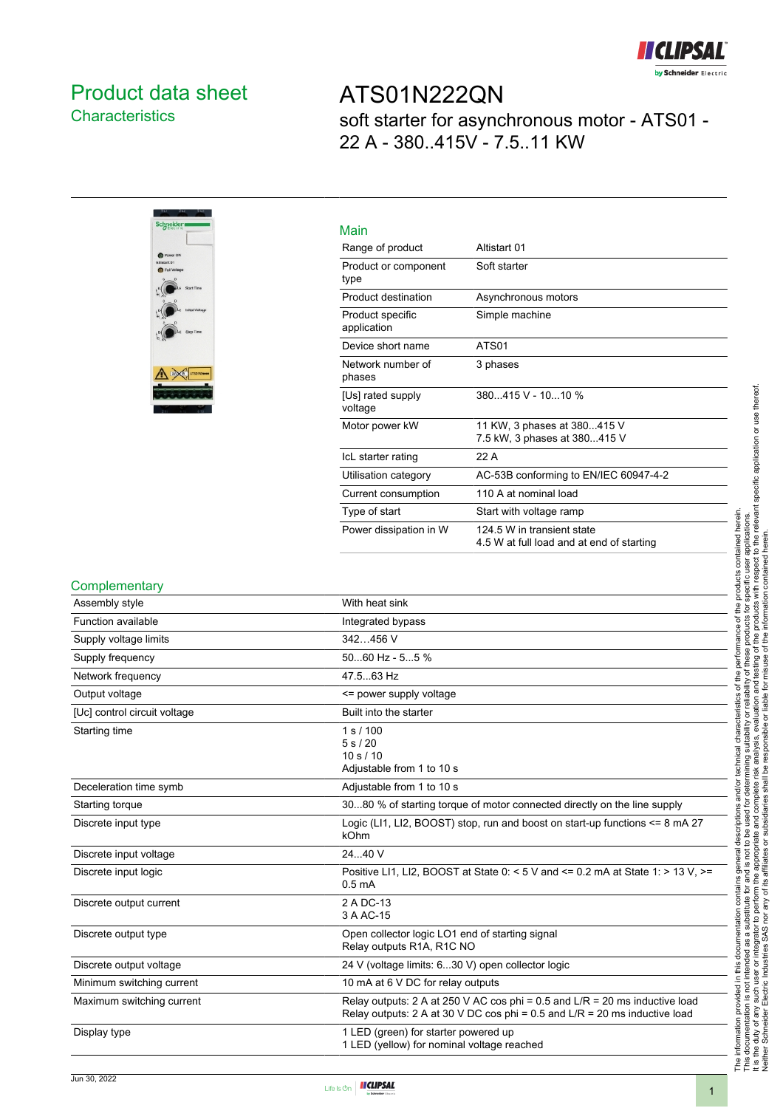

### <span id="page-0-0"></span>Product data sheet **Characteristics**

ATS01N222QN soft starter for asynchronous motor - ATS01 - 22 A - 380..415V - 7.5..11 KW



| Main                            |                                                                         |
|---------------------------------|-------------------------------------------------------------------------|
| Range of product                | Altistart 01                                                            |
| Product or component<br>type    | Soft starter                                                            |
| Product destination             | Asynchronous motors                                                     |
| Product specific<br>application | Simple machine                                                          |
| Device short name               | ATS01                                                                   |
| Network number of<br>phases     | 3 phases                                                                |
| [Us] rated supply<br>voltage    | 380415 V - 1010 %                                                       |
| Motor power kW                  | 11 KW, 3 phases at 380415 V<br>7.5 kW, 3 phases at 380415 V             |
| IcL starter rating              | 22 A                                                                    |
| Utilisation category            | AC-53B conforming to EN/IEC 60947-4-2                                   |
| Current consumption             | 110 A at nominal load                                                   |
| Type of start                   | Start with voltage ramp                                                 |
| Power dissipation in W          | 124 5 W in transient state<br>4.5 W at full load and at end of starting |

#### **Complementary**

| Assembly style               | With heat sink                                                                                                                                                |
|------------------------------|---------------------------------------------------------------------------------------------------------------------------------------------------------------|
| Function available           | Integrated bypass                                                                                                                                             |
| Supply voltage limits        | 342456 V                                                                                                                                                      |
| Supply frequency             | 5060 Hz - 55 %                                                                                                                                                |
| Network frequency            | 47.563 Hz                                                                                                                                                     |
| Output voltage               | <= power supply voltage                                                                                                                                       |
| [Uc] control circuit voltage | Built into the starter                                                                                                                                        |
| Starting time                | 1 s / 100<br>5 s / 20<br>10 s / 10<br>Adjustable from 1 to 10 s                                                                                               |
| Deceleration time symb       | Adjustable from 1 to 10 s                                                                                                                                     |
| Starting torque              | 3080 % of starting torque of motor connected directly on the line supply                                                                                      |
| Discrete input type          | Logic (LI1, LI2, BOOST) stop, run and boost on start-up functions $\leq 8$ mA 27<br>kOhm                                                                      |
| Discrete input voltage       | 24.40 V                                                                                                                                                       |
| Discrete input logic         | Positive LI1, LI2, BOOST at State 0: < 5 V and <= 0.2 mA at State 1: > 13 V. >=<br>0.5 <sub>m</sub> A                                                         |
| Discrete output current      | 2 A DC-13<br>3 A AC-15                                                                                                                                        |
| Discrete output type         | Open collector logic LO1 end of starting signal<br>Relay outputs R1A, R1C NO                                                                                  |
| Discrete output voltage      | 24 V (voltage limits: 630 V) open collector logic                                                                                                             |
| Minimum switching current    | 10 mA at 6 V DC for relay outputs                                                                                                                             |
| Maximum switching current    | Relay outputs: 2 A at 250 V AC cos phi = 0.5 and $L/R = 20$ ms inductive load<br>Relay outputs: 2 A at 30 V DC cos phi = 0.5 and $L/R = 20$ ms inductive load |
| Display type                 | 1 LED (green) for starter powered up<br>1 LED (yellow) for nominal voltage reached                                                                            |

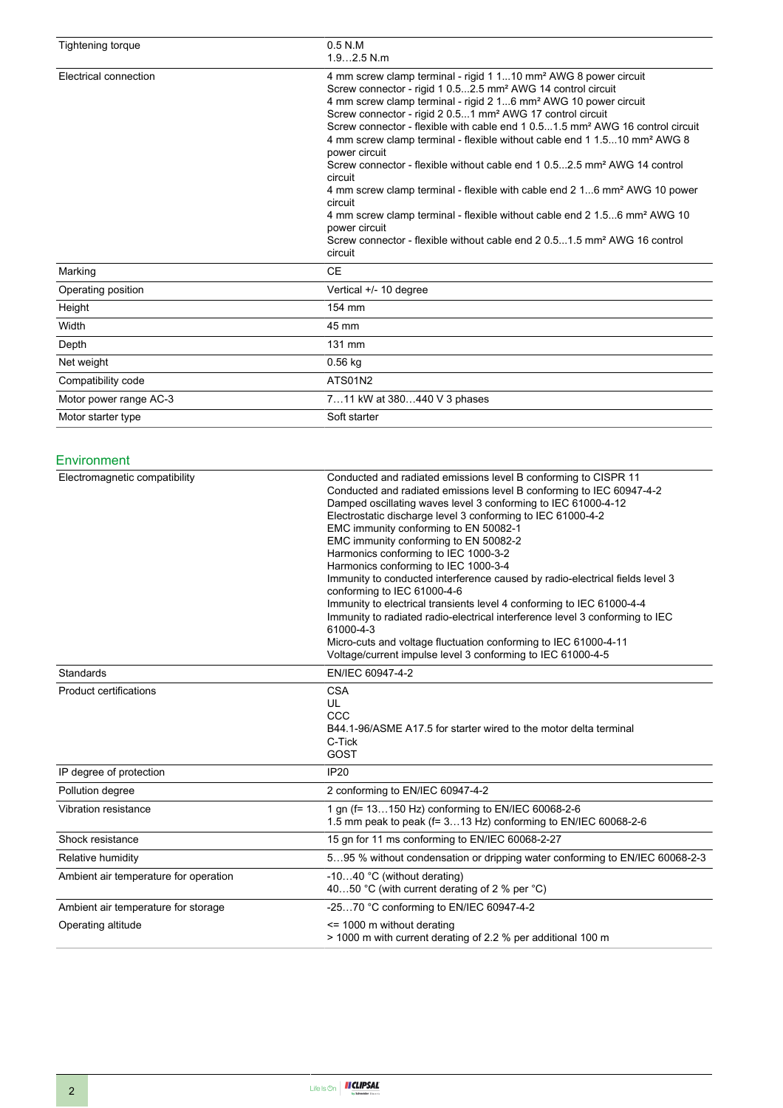| Tightening torque      | $0.5$ N.M<br>$1.92.5$ N.m                                                                                                                                                                                                                                                                                                                                                                                                                                                                                                                                                                                                                                                                                                                                                                                                                                                                                                               |
|------------------------|-----------------------------------------------------------------------------------------------------------------------------------------------------------------------------------------------------------------------------------------------------------------------------------------------------------------------------------------------------------------------------------------------------------------------------------------------------------------------------------------------------------------------------------------------------------------------------------------------------------------------------------------------------------------------------------------------------------------------------------------------------------------------------------------------------------------------------------------------------------------------------------------------------------------------------------------|
| Electrical connection  | 4 mm screw clamp terminal - rigid 1 110 mm <sup>2</sup> AWG 8 power circuit<br>Screw connector - rigid 1 0.52.5 mm <sup>2</sup> AWG 14 control circuit<br>4 mm screw clamp terminal - rigid 2 16 mm <sup>2</sup> AWG 10 power circuit<br>Screw connector - rigid 2 0.51 mm <sup>2</sup> AWG 17 control circuit<br>Screw connector - flexible with cable end 1 0.51.5 mm <sup>2</sup> AWG 16 control circuit<br>4 mm screw clamp terminal - flexible without cable end 1 1.510 mm <sup>2</sup> AWG 8<br>power circuit<br>Screw connector - flexible without cable end 1 0.52.5 mm <sup>2</sup> AWG 14 control<br>circuit<br>4 mm screw clamp terminal - flexible with cable end 2 16 mm <sup>2</sup> AWG 10 power<br>circuit<br>4 mm screw clamp terminal - flexible without cable end 2 1.56 mm <sup>2</sup> AWG 10<br>power circuit<br>Screw connector - flexible without cable end 2 0.51.5 mm <sup>2</sup> AWG 16 control<br>circuit |
| Marking                | <b>CE</b>                                                                                                                                                                                                                                                                                                                                                                                                                                                                                                                                                                                                                                                                                                                                                                                                                                                                                                                               |
| Operating position     | Vertical +/- 10 degree                                                                                                                                                                                                                                                                                                                                                                                                                                                                                                                                                                                                                                                                                                                                                                                                                                                                                                                  |
| Height                 | 154 mm                                                                                                                                                                                                                                                                                                                                                                                                                                                                                                                                                                                                                                                                                                                                                                                                                                                                                                                                  |
| Width                  | 45 mm                                                                                                                                                                                                                                                                                                                                                                                                                                                                                                                                                                                                                                                                                                                                                                                                                                                                                                                                   |
| Depth                  | 131 mm                                                                                                                                                                                                                                                                                                                                                                                                                                                                                                                                                                                                                                                                                                                                                                                                                                                                                                                                  |
| Net weight             | $0.56$ kg                                                                                                                                                                                                                                                                                                                                                                                                                                                                                                                                                                                                                                                                                                                                                                                                                                                                                                                               |
| Compatibility code     | ATS01N2                                                                                                                                                                                                                                                                                                                                                                                                                                                                                                                                                                                                                                                                                                                                                                                                                                                                                                                                 |
| Motor power range AC-3 | 711 kW at 380440 V 3 phases                                                                                                                                                                                                                                                                                                                                                                                                                                                                                                                                                                                                                                                                                                                                                                                                                                                                                                             |
| Motor starter type     | Soft starter                                                                                                                                                                                                                                                                                                                                                                                                                                                                                                                                                                                                                                                                                                                                                                                                                                                                                                                            |

#### Environment

| Electromagnetic compatibility         | Conducted and radiated emissions level B conforming to CISPR 11<br>Conducted and radiated emissions level B conforming to IEC 60947-4-2<br>Damped oscillating waves level 3 conforming to IEC 61000-4-12<br>Electrostatic discharge level 3 conforming to IEC 61000-4-2<br>EMC immunity conforming to EN 50082-1<br>EMC immunity conforming to EN 50082-2<br>Harmonics conforming to IEC 1000-3-2<br>Harmonics conforming to IEC 1000-3-4<br>Immunity to conducted interference caused by radio-electrical fields level 3<br>conforming to IEC 61000-4-6<br>Immunity to electrical transients level 4 conforming to IEC 61000-4-4<br>Immunity to radiated radio-electrical interference level 3 conforming to IEC<br>61000-4-3<br>Micro-cuts and voltage fluctuation conforming to IEC 61000-4-11<br>Voltage/current impulse level 3 conforming to IEC 61000-4-5 |
|---------------------------------------|------------------------------------------------------------------------------------------------------------------------------------------------------------------------------------------------------------------------------------------------------------------------------------------------------------------------------------------------------------------------------------------------------------------------------------------------------------------------------------------------------------------------------------------------------------------------------------------------------------------------------------------------------------------------------------------------------------------------------------------------------------------------------------------------------------------------------------------------------------------|
| Standards                             | EN/IEC 60947-4-2                                                                                                                                                                                                                                                                                                                                                                                                                                                                                                                                                                                                                                                                                                                                                                                                                                                 |
| <b>Product certifications</b>         | <b>CSA</b><br>UL<br>CCC<br>B44.1-96/ASME A17.5 for starter wired to the motor delta terminal<br>C-Tick<br>GOST                                                                                                                                                                                                                                                                                                                                                                                                                                                                                                                                                                                                                                                                                                                                                   |
| IP degree of protection               | <b>IP20</b>                                                                                                                                                                                                                                                                                                                                                                                                                                                                                                                                                                                                                                                                                                                                                                                                                                                      |
| Pollution degree                      | 2 conforming to EN/IEC 60947-4-2                                                                                                                                                                                                                                                                                                                                                                                                                                                                                                                                                                                                                                                                                                                                                                                                                                 |
| Vibration resistance                  | 1 gn (f= 13150 Hz) conforming to EN/IEC 60068-2-6<br>1.5 mm peak to peak (f= 313 Hz) conforming to EN/IEC 60068-2-6                                                                                                                                                                                                                                                                                                                                                                                                                                                                                                                                                                                                                                                                                                                                              |
| Shock resistance                      | 15 gn for 11 ms conforming to EN/IEC 60068-2-27                                                                                                                                                                                                                                                                                                                                                                                                                                                                                                                                                                                                                                                                                                                                                                                                                  |
| Relative humidity                     | 595 % without condensation or dripping water conforming to EN/IEC 60068-2-3                                                                                                                                                                                                                                                                                                                                                                                                                                                                                                                                                                                                                                                                                                                                                                                      |
| Ambient air temperature for operation | -1040 °C (without derating)<br>4050 °C (with current derating of 2 % per °C)                                                                                                                                                                                                                                                                                                                                                                                                                                                                                                                                                                                                                                                                                                                                                                                     |
| Ambient air temperature for storage   | -2570 °C conforming to EN/IEC 60947-4-2                                                                                                                                                                                                                                                                                                                                                                                                                                                                                                                                                                                                                                                                                                                                                                                                                          |
| Operating altitude                    | $\le$ 1000 m without derating<br>> 1000 m with current derating of 2.2 % per additional 100 m                                                                                                                                                                                                                                                                                                                                                                                                                                                                                                                                                                                                                                                                                                                                                                    |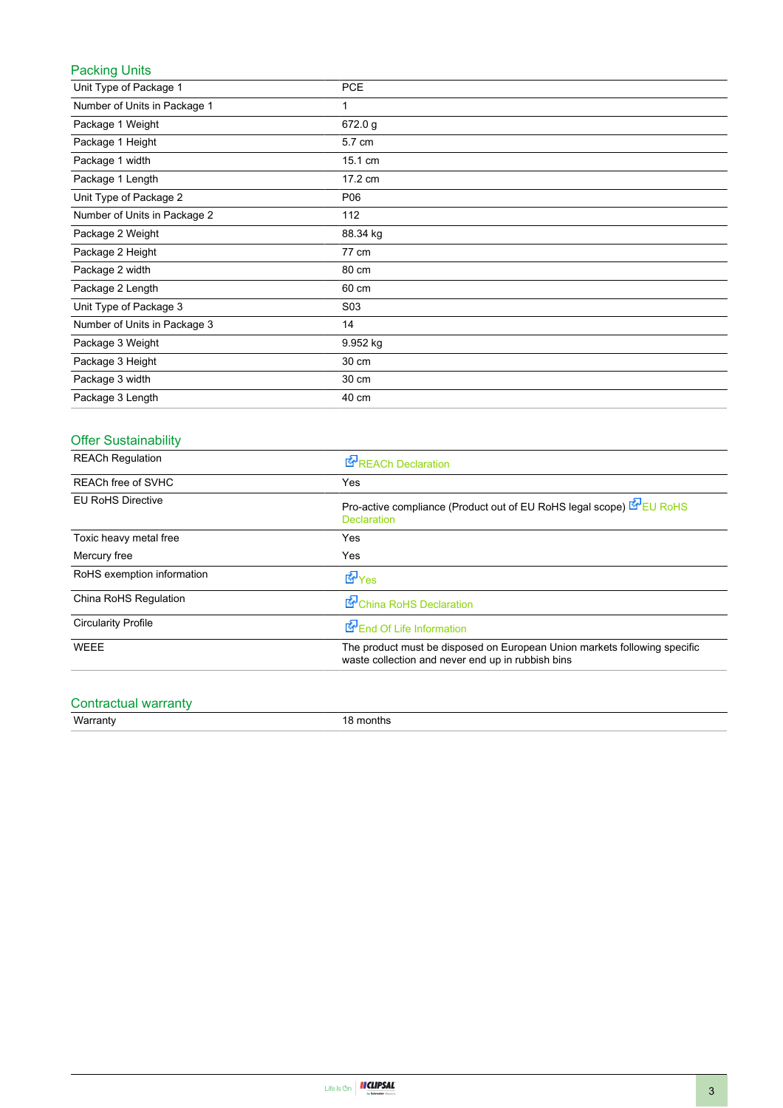#### Packing Units

| Unit Type of Package 1       | <b>PCE</b>       |
|------------------------------|------------------|
| Number of Units in Package 1 | 1                |
| Package 1 Weight             | 672.0 g          |
| Package 1 Height             | 5.7 cm           |
| Package 1 width              | 15.1 cm          |
| Package 1 Length             | 17.2 cm          |
| Unit Type of Package 2       | P06              |
| Number of Units in Package 2 | 112              |
| Package 2 Weight             | 88.34 kg         |
| Package 2 Height             | 77 cm            |
| Package 2 width              | 80 cm            |
| Package 2 Length             | 60 cm            |
| Unit Type of Package 3       | S <sub>0</sub> 3 |
| Number of Units in Package 3 | 14               |
| Package 3 Weight             | 9.952 kg         |
| Package 3 Height             | 30 cm            |
| Package 3 width              | 30 cm            |
| Package 3 Length             | 40 cm            |

#### Offer Sustainability

| <b>REACh Regulation</b>    | <b>REACh Declaration</b>                                                                                                       |
|----------------------------|--------------------------------------------------------------------------------------------------------------------------------|
| <b>REACh free of SVHC</b>  | Yes                                                                                                                            |
| <b>EU RoHS Directive</b>   | Pro-active compliance (Product out of EU RoHS legal scope) EU RoHS<br><b>Declaration</b>                                       |
| Toxic heavy metal free     | Yes                                                                                                                            |
| Mercury free               | Yes                                                                                                                            |
| RoHS exemption information | $E_{\text{Yes}}$                                                                                                               |
| China RoHS Regulation      | China RoHS Declaration                                                                                                         |
| <b>Circularity Profile</b> | End Of Life Information                                                                                                        |
| WEEE                       | The product must be disposed on European Union markets following specific<br>waste collection and never end up in rubbish bins |

# Contractual warranty<br>Warranty

18 months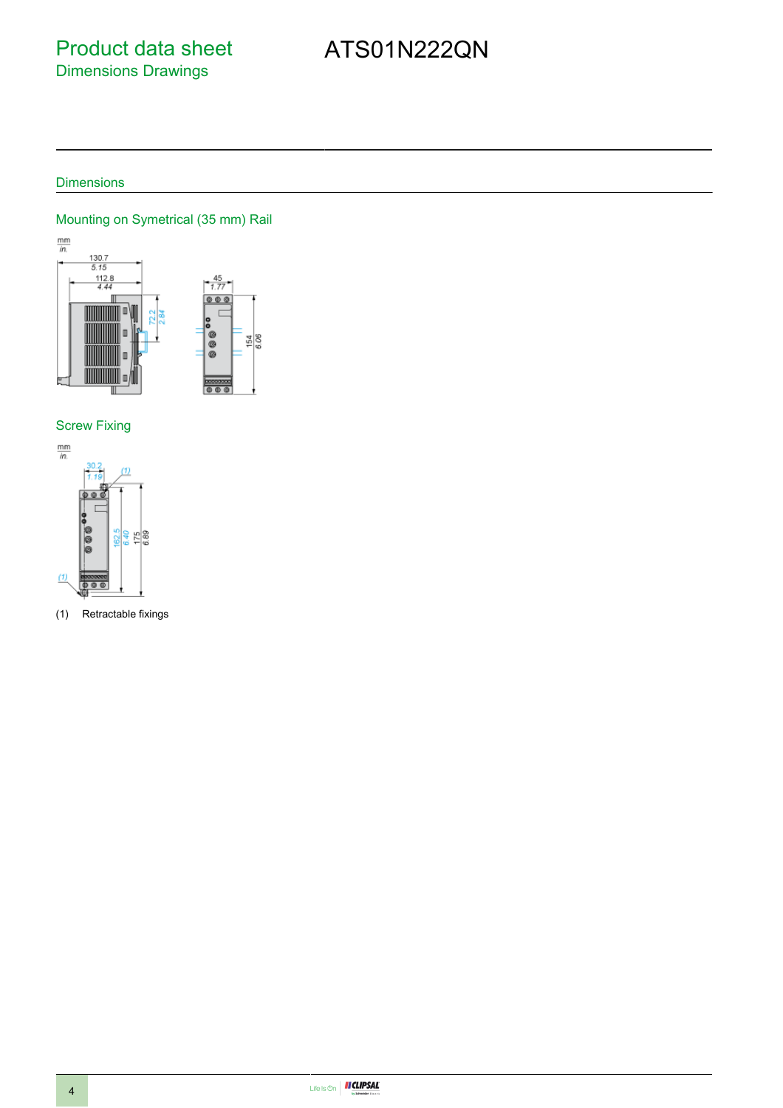### Product data sheet Dimensions Drawings

# ATS01N222QN

### Dimensions

#### Mounting on Symetrical (35 mm) Rail



#### Screw Fixing



(1) Retractable fixings

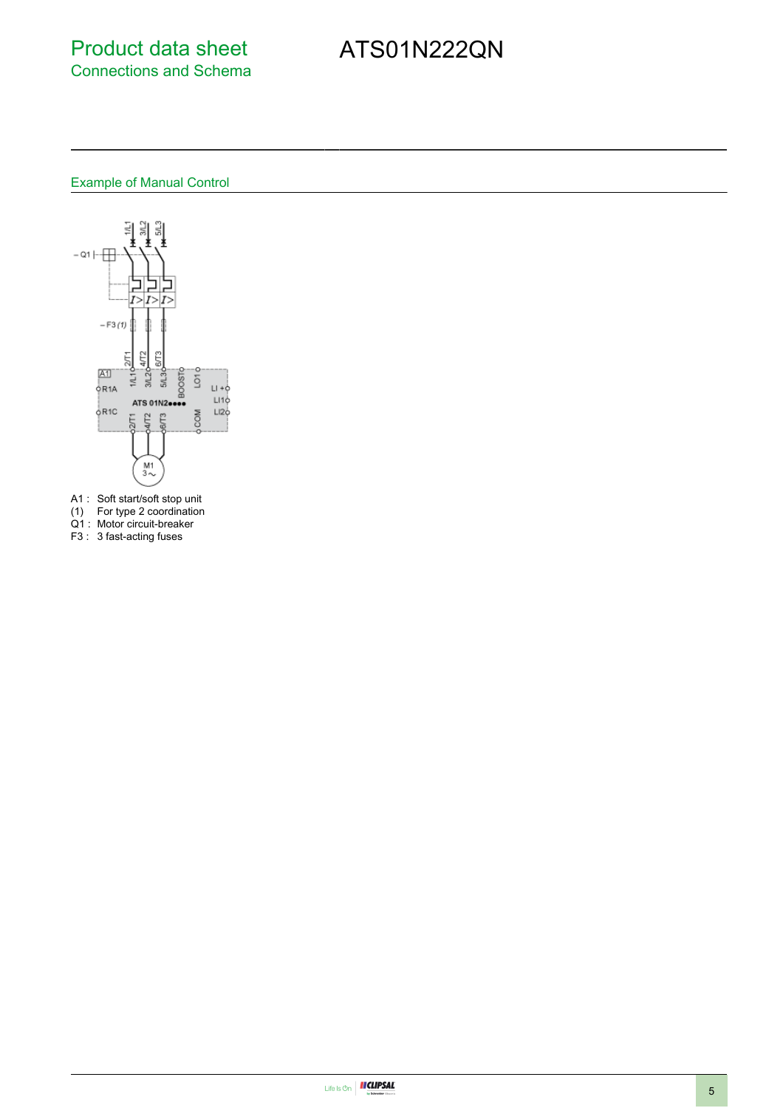### Product data sheet Connections and Schema

# ATS01N222QN

#### Example of Manual Control



- A1 : Soft start/soft stop unit
- (1) For type 2 coordination
- Q1 : Motor circuit-breaker
- F3 : 3 fast-acting fuses